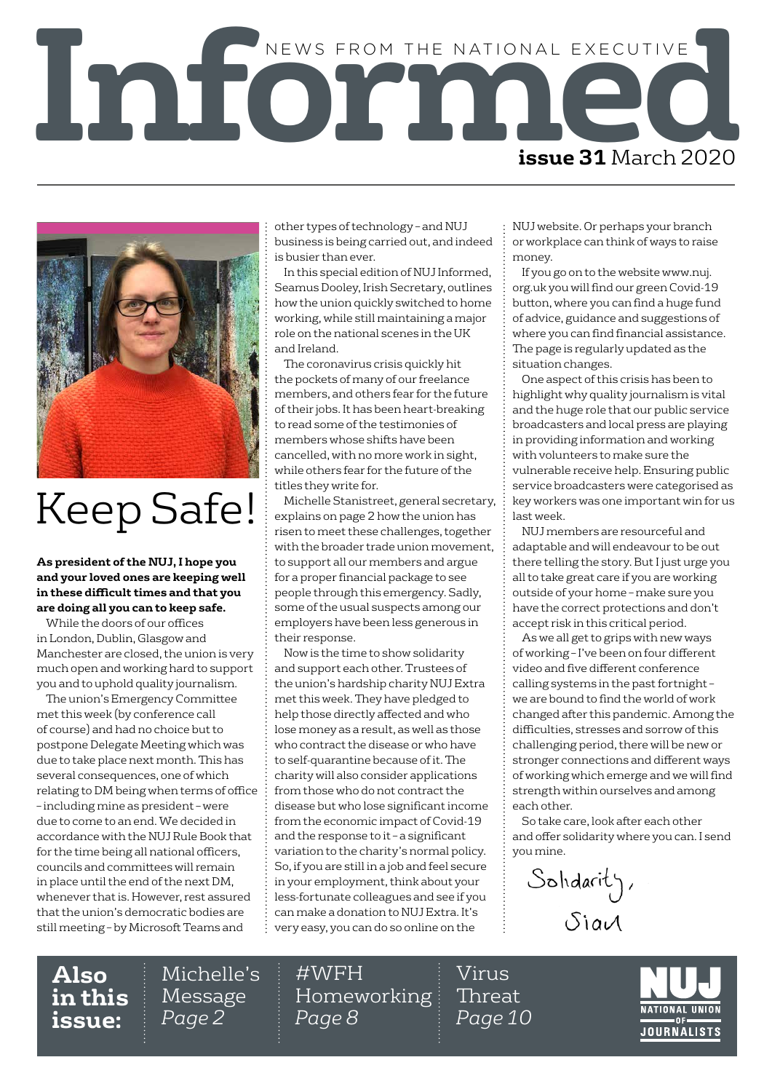



## Keep Safe!

**As president of the NUJ, I hope you and your loved ones are keeping well in these difficult times and that you are doing all you can to keep safe.**

While the doors of our offices in London, Dublin, Glasgow and Manchester are closed, the union is very much open and working hard to support you and to uphold quality journalism.

The union's Emergency Committee met this week (by conference call of course) and had no choice but to postpone Delegate Meeting which was due to take place next month. This has several consequences, one of which relating to DM being when terms of office – including mine as president – were due to come to an end. We decided in accordance with the NUJ Rule Book that for the time being all national officers, councils and committees will remain in place until the end of the next DM, whenever that is. However, rest assured that the union's democratic bodies are still meeting – by Microsoft Teams and

other types of technology – and NUJ business is being carried out, and indeed is busier than ever.

In this special edition of NUJ Informed, Seamus Dooley, Irish Secretary, outlines how the union quickly switched to home working, while still maintaining a major role on the national scenes in the UK and Ireland.

The coronavirus crisis quickly hit the pockets of many of our freelance members, and others fear for the future of their jobs. It has been heart-breaking to read some of the testimonies of members whose shifts have been cancelled, with no more work in sight, while others fear for the future of the titles they write for.

Michelle Stanistreet, general secretary, explains on page 2 how the union has risen to meet these challenges, together with the broader trade union movement, to support all our members and argue for a proper financial package to see people through this emergency. Sadly, some of the usual suspects among our employers have been less generous in their response.

Now is the time to show solidarity and support each other. Trustees of the union's hardship charity NUJ Extra met this week. They have pledged to help those directly affected and who lose money as a result, as well as those who contract the disease or who have to self-quarantine because of it. The charity will also consider applications from those who do not contract the disease but who lose significant income from the economic impact of Covid-19 and the response to it – a significant variation to the charity's normal policy. So, if you are still in a job and feel secure in your employment, think about your less-fortunate colleagues and see if you can make a donation to NUJ Extra. It's very easy, you can do so online on the

NUJ website. Or perhaps your branch or workplace can think of ways to raise money.

If you go on to the website www.nuj. org.uk you will find our green Covid-19 button, where you can find a huge fund of advice, guidance and suggestions of where you can find financial assistance. The page is regularly updated as the situation changes.

One aspect of this crisis has been to highlight why quality journalism is vital and the huge role that our public service broadcasters and local press are playing in providing information and working with volunteers to make sure the vulnerable receive help. Ensuring public service broadcasters were categorised as key workers was one important win for us last week.

NUJ members are resourceful and adaptable and will endeavour to be out there telling the story. But I just urge you all to take great care if you are working outside of your home – make sure you have the correct protections and don't accept risk in this critical period.

As we all get to grips with new ways of working – I've been on four different video and five different conference calling systems in the past fortnight – we are bound to find the world of work changed after this pandemic. Among the difficulties, stresses and sorrow of this challenging period, there will be new or stronger connections and different ways of working which emerge and we will find strength within ourselves and among each other.

So take care, look after each other and offer solidarity where you can. I send you mine.

Solidarity,  $S$ ia $A$ 

**Also in this issue:**

Michelle's Message *Page 2*

#WFH Homeworking *Page 8*

Virus Threat *Page 10*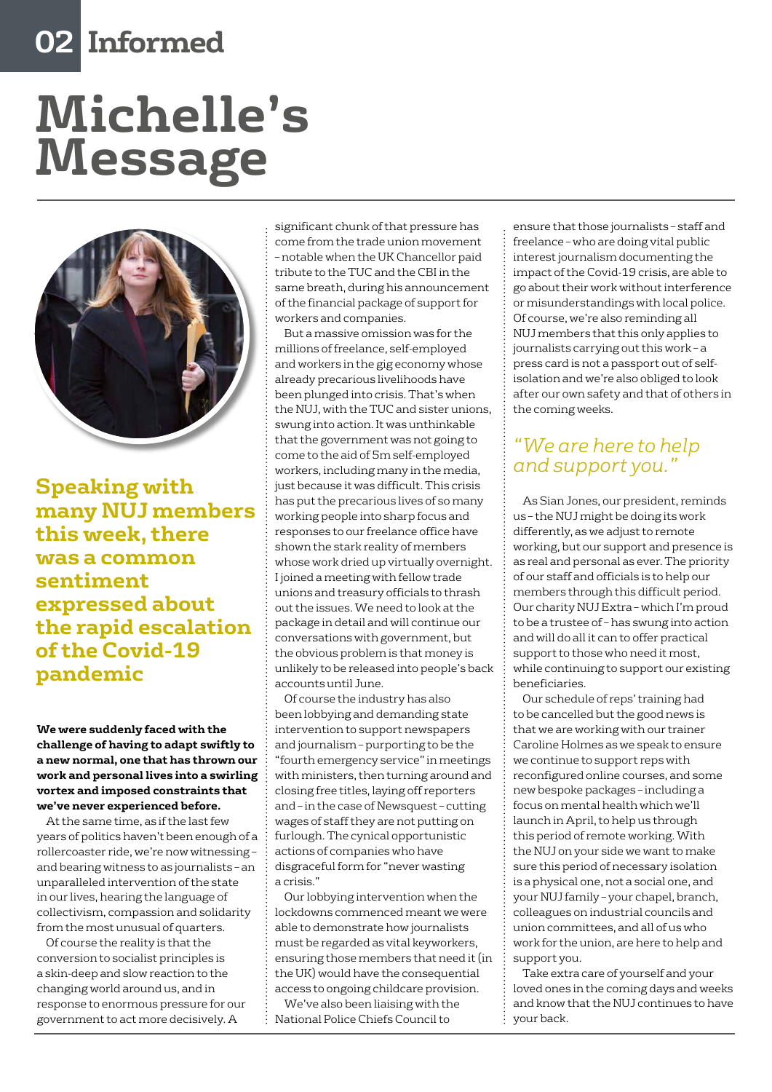## **02 Informed**

# **Michelle's Message**



**Speaking with many NUJ members this week, there was a common sentiment expressed about the rapid escalation of the Covid-19 pandemic**

#### **We were suddenly faced with the challenge of having to adapt swiftly to a new normal, one that has thrown our work and personal lives into a swirling vortex and imposed constraints that we've never experienced before.**

At the same time, as if the last few years of politics haven't been enough of a rollercoaster ride, we're now witnessing – and bearing witness to as journalists – an unparalleled intervention of the state in our lives, hearing the language of collectivism, compassion and solidarity from the most unusual of quarters.

Of course the reality is that the conversion to socialist principles is a skin-deep and slow reaction to the changing world around us, and in response to enormous pressure for our government to act more decisively. A

significant chunk of that pressure has come from the trade union movement – notable when the UK Chancellor paid tribute to the TUC and the CBI in the same breath, during his announcement of the financial package of support for workers and companies.

But a massive omission was for the millions of freelance, self-employed and workers in the gig economy whose already precarious livelihoods have been plunged into crisis. That's when the NUJ, with the TUC and sister unions, swung into action. It was unthinkable that the government was not going to come to the aid of 5m self-employed workers, including many in the media, just because it was difficult. This crisis has put the precarious lives of so many working people into sharp focus and responses to our freelance office have shown the stark reality of members whose work dried up virtually overnight. I joined a meeting with fellow trade unions and treasury officials to thrash out the issues. We need to look at the package in detail and will continue our conversations with government, but the obvious problem is that money is unlikely to be released into people's back accounts until June.

Of course the industry has also been lobbying and demanding state intervention to support newspapers and journalism – purporting to be the "fourth emergency service" in meetings with ministers, then turning around and closing free titles, laying off reporters and – in the case of Newsquest – cutting wages of staff they are not putting on furlough. The cynical opportunistic actions of companies who have disgraceful form for "never wasting a crisis."

Our lobbying intervention when the lockdowns commenced meant we were able to demonstrate how journalists must be regarded as vital keyworkers, ensuring those members that need it (in the UK) would have the consequential access to ongoing childcare provision.

We've also been liaising with the National Police Chiefs Council to

ensure that those journalists – staff and freelance – who are doing vital public interest journalism documenting the impact of the Covid-19 crisis, are able to go about their work without interference or misunderstandings with local police. Of course, we're also reminding all NUJ members that this only applies to journalists carrying out this work – a press card is not a passport out of selfisolation and we're also obliged to look after our own safety and that of others in the coming weeks.

#### *"We are here to help and support you."*

As Sian Jones, our president, reminds us – the NUJ might be doing its work differently, as we adjust to remote working, but our support and presence is as real and personal as ever. The priority of our staff and officials is to help our members through this difficult period. Our charity NUJ Extra – which I'm proud to be a trustee of – has swung into action and will do all it can to offer practical support to those who need it most, while continuing to support our existing beneficiaries.

Our schedule of reps' training had to be cancelled but the good news is that we are working with our trainer Caroline Holmes as we speak to ensure we continue to support reps with reconfigured online courses, and some new bespoke packages – including a focus on mental health which we'll launch in April, to help us through this period of remote working. With the NUJ on your side we want to make sure this period of necessary isolation is a physical one, not a social one, and your NUJ family – your chapel, branch, colleagues on industrial councils and union committees, and all of us who work for the union, are here to help and support you.

Take extra care of yourself and your loved ones in the coming days and weeks and know that the NUJ continues to have your back.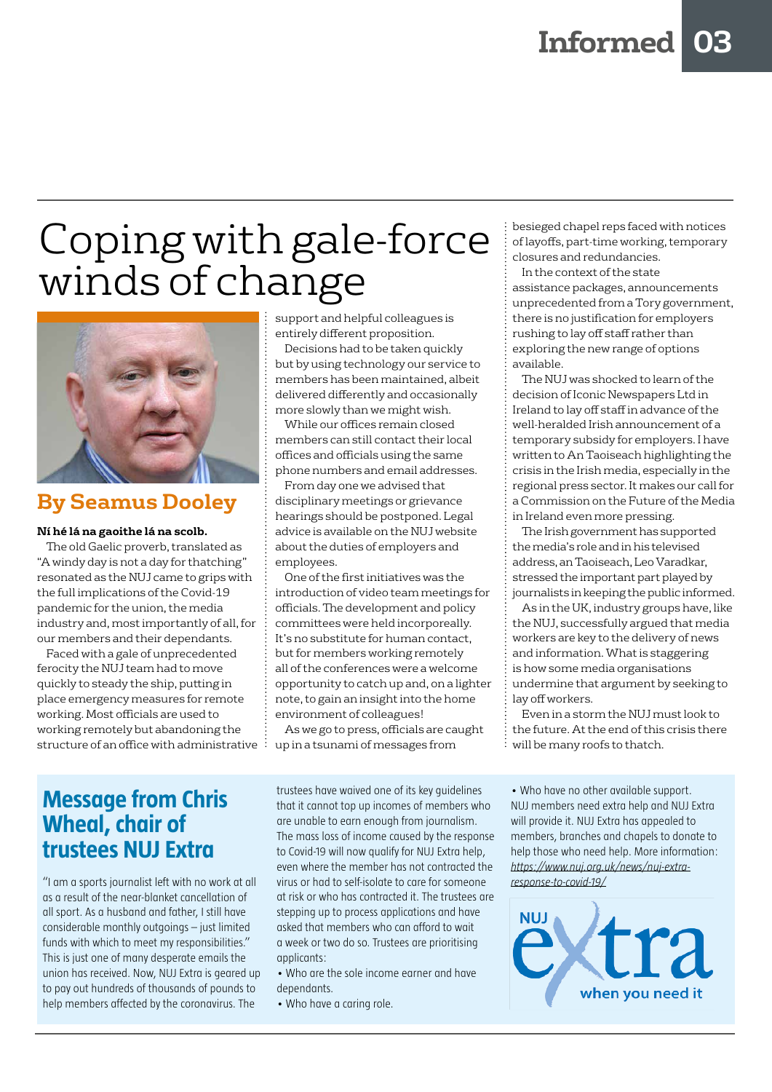## Coping with gale-force winds of change



#### **By Seamus Dooley**

#### **Ní hé lá na gaoithe lá na scolb.**

The old Gaelic proverb, translated as "A windy day is not a day for thatching" resonated as the NUJ came to grips with the full implications of the Covid-19 pandemic for the union, the media industry and, most importantly of all, for our members and their dependants.

Faced with a gale of unprecedented ferocity the NUJ team had to move quickly to steady the ship, putting in place emergency measures for remote working. Most officials are used to working remotely but abandoning the structure of an office with administrative  $\ddot{\cdot}$ 

support and helpful colleagues is entirely different proposition.

Decisions had to be taken quickly but by using technology our service to members has been maintained, albeit delivered differently and occasionally more slowly than we might wish.

While our offices remain closed members can still contact their local offices and officials using the same phone numbers and email addresses.

From day one we advised that disciplinary meetings or grievance hearings should be postponed. Legal advice is available on the NUJ website about the duties of employers and employees.

One of the first initiatives was the introduction of video team meetings for officials. The development and policy committees were held incorporeally. It's no substitute for human contact, but for members working remotely all of the conferences were a welcome opportunity to catch up and, on a lighter note, to gain an insight into the home environment of colleagues!

As we go to press, officials are caught up in a tsunami of messages from

#### **Message from Chris Wheal, chair of trustees NUJ Extra**

"I am a sports journalist left with no work at all as a result of the near-blanket cancellation of all sport. As a husband and father, I still have considerable monthly outgoings – just limited funds with which to meet my responsibilities." This is just one of many desperate emails the union has received. Now, NUJ Extra is geared up to pay out hundreds of thousands of pounds to help members affected by the coronavirus. The

trustees have waived one of its key guidelines that it cannot top up incomes of members who are unable to earn enough from journalism. The mass loss of income caused by the response to Covid-19 will now qualify for NUJ Extra help, even where the member has not contracted the virus or had to self-isolate to care for someone at risk or who has contracted it. The trustees are stepping up to process applications and have asked that members who can afford to wait a week or two do so. Trustees are prioritising applicants:

• Who are the sole income earner and have dependants.

• Who have a caring role.

besieged chapel reps faced with notices of layoffs, part-time working, temporary closures and redundancies.

In the context of the state assistance packages, announcements unprecedented from a Tory government, there is no justification for employers rushing to lay off staff rather than exploring the new range of options available.

The NUJ was shocked to learn of the decision of Iconic Newspapers Ltd in Ireland to lay off staff in advance of the well-heralded Irish announcement of a temporary subsidy for employers. I have written to An Taoiseach highlighting the crisis in the Irish media, especially in the regional press sector. It makes our call for a Commission on the Future of the Media in Ireland even more pressing.

The Irish government has supported the media's role and in his televised address, an Taoiseach, Leo Varadkar, stressed the important part played by journalists in keeping the public informed.

As in the UK, industry groups have, like the NUJ, successfully argued that media workers are key to the delivery of news and information. What is staggering is how some media organisations undermine that argument by seeking to lay off workers.

Even in a storm the NUJ must look to the future. At the end of this crisis there will be many roofs to thatch.

• Who have no other available support. NUJ members need extra help and NUJ Extra will provide it. NUJ Extra has appealed to members, branches and chapels to donate to help those who need help. More information: *[https://www.nuj.org.uk/news/nuj-extra](https://www.nuj.org.uk/news/nuj-extra-response-to-covid-19/)[response-to-covid-19/](https://www.nuj.org.uk/news/nuj-extra-response-to-covid-19/)*

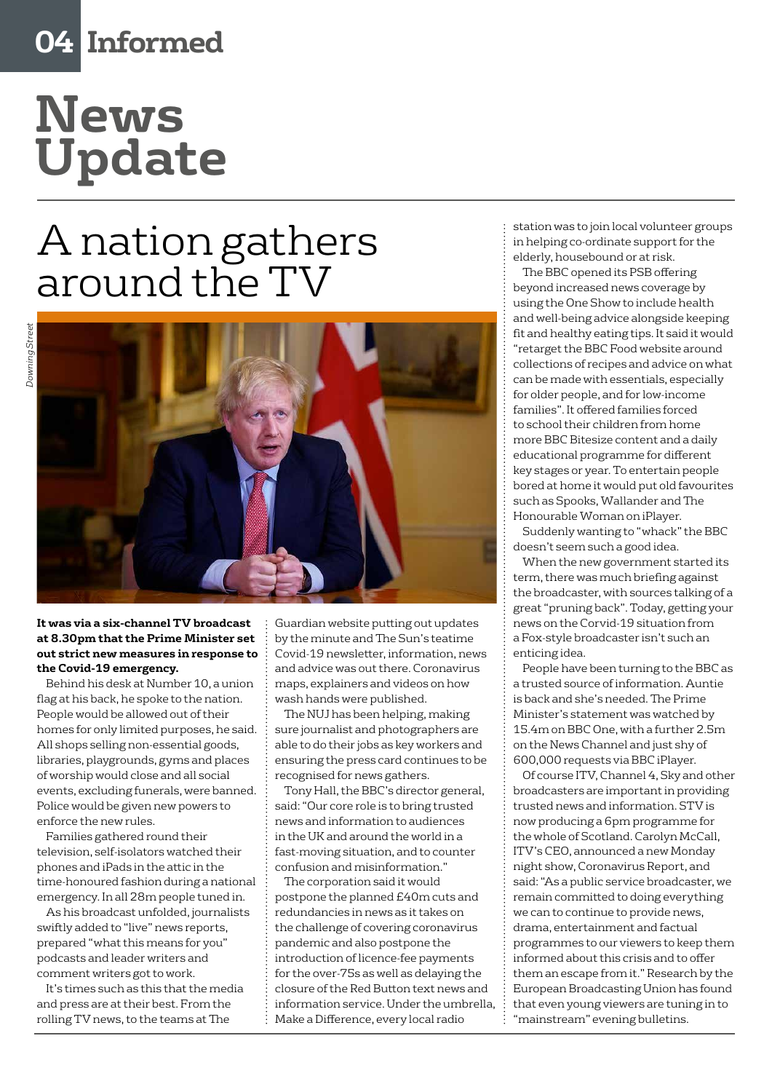## **04 Informed**

## **News Update**

## A nation gathers around the TV



**It was via a six-channel TV broadcast at 8.30pm that the Prime Minister set out strict new measures in response to the Covid-19 emergency.**

Behind his desk at Number 10, a union flag at his back, he spoke to the nation. People would be allowed out of their homes for only limited purposes, he said. All shops selling non-essential goods, libraries, playgrounds, gyms and places of worship would close and all social events, excluding funerals, were banned. Police would be given new powers to enforce the new rules.

Families gathered round their television, self-isolators watched their phones and iPads in the attic in the time-honoured fashion during a national emergency. In all 28m people tuned in.

As his broadcast unfolded, journalists swiftly added to "live" news reports, prepared "what this means for you" podcasts and leader writers and comment writers got to work.

It's times such as this that the media and press are at their best. From the rolling TV news, to the teams at The

Guardian website putting out updates by the minute and The Sun's teatime Covid-19 newsletter, information, news and advice was out there. Coronavirus maps, explainers and videos on how wash hands were published.

The NUJ has been helping, making sure journalist and photographers are able to do their jobs as key workers and ensuring the press card continues to be recognised for news gathers.

Tony Hall, the BBC's director general, said: "Our core role is to bring trusted news and information to audiences in the UK and around the world in a fast-moving situation, and to counter confusion and misinformation."

The corporation said it would postpone the planned £40m cuts and redundancies in news as it takes on the challenge of covering coronavirus pandemic and also postpone the introduction of licence-fee payments for the over-75s as well as delaying the closure of the Red Button text news and information service. Under the umbrella, Make a Difference, every local radio

station was to join local volunteer groups in helping co-ordinate support for the elderly, housebound or at risk.

The BBC opened its PSB offering beyond increased news coverage by using the One Show to include health and well-being advice alongside keeping fit and healthy eating tips. It said it would "retarget the BBC Food website around collections of recipes and advice on what can be made with essentials, especially for older people, and for low-income families". It offered families forced to school their children from home more BBC Bitesize content and a daily educational programme for different key stages or year. To entertain people bored at home it would put old favourites such as Spooks, Wallander and The Honourable Woman on iPlayer.

Suddenly wanting to "whack" the BBC doesn't seem such a good idea.

When the new government started its term, there was much briefing against the broadcaster, with sources talking of a great "pruning back". Today, getting your news on the Corvid-19 situation from a Fox-style broadcaster isn't such an enticing idea.

People have been turning to the BBC as a trusted source of information. Auntie is back and she's needed. The Prime Minister's statement was watched by 15.4m on BBC One, with a further 2.5m on the News Channel and just shy of 600,000 requests via BBC iPlayer.

Of course ITV, Channel 4, Sky and other broadcasters are important in providing trusted news and information. STV is now producing a 6pm programme for the whole of Scotland. Carolyn McCall, ITV's CEO, announced a new Monday night show, Coronavirus Report, and said: "As a public service broadcaster, we remain committed to doing everything we can to continue to provide news, drama, entertainment and factual programmes to our viewers to keep them informed about this crisis and to offer them an escape from it." Research by the European Broadcasting Union has found that even young viewers are tuning in to "mainstream" evening bulletins.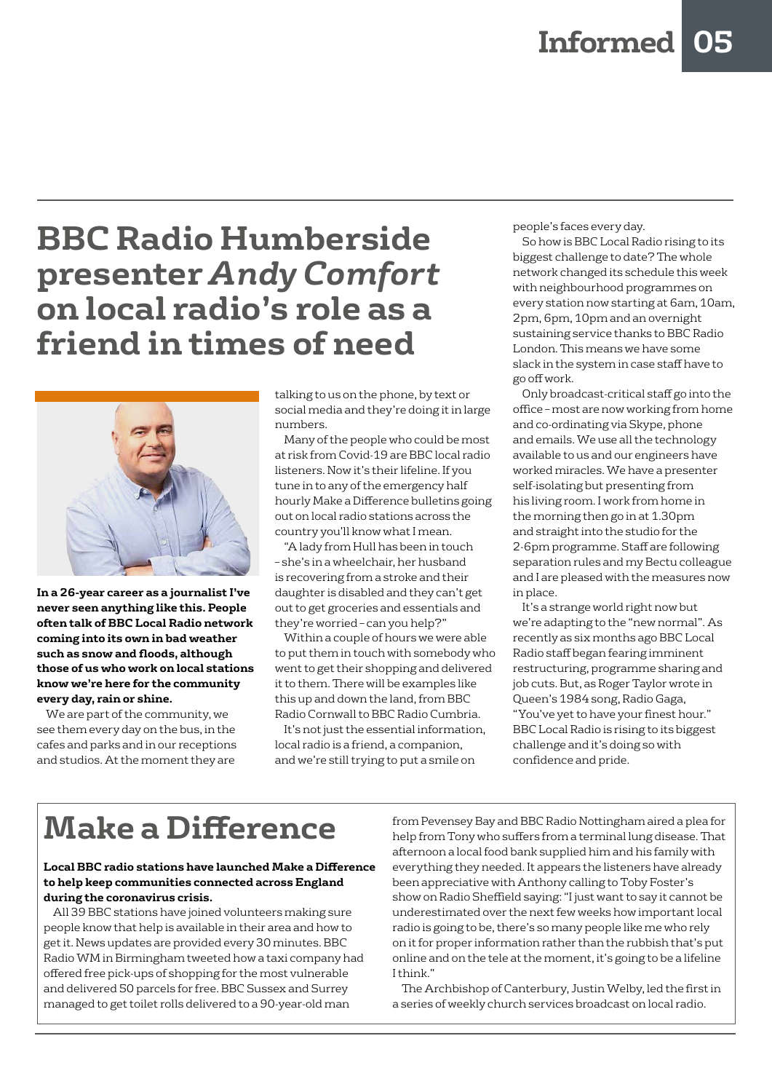### **BBC Radio Humberside presenter** *Andy Comfort*  **on local radio's role as a friend in times of need**



**In a 26-year career as a journalist I've never seen anything like this. People often talk of BBC Local Radio network coming into its own in bad weather such as snow and floods, although those of us who work on local stations know we're here for the community every day, rain or shine.** 

We are part of the community, we see them every day on the bus, in the cafes and parks and in our receptions and studios. At the moment they are

talking to us on the phone, by text or social media and they're doing it in large numbers.

Many of the people who could be most at risk from Covid-19 are BBC local radio listeners. Now it's their lifeline. If you tune in to any of the emergency half hourly Make a Difference bulletins going out on local radio stations across the country you'll know what I mean.

"A lady from Hull has been in touch – she's in a wheelchair, her husband is recovering from a stroke and their daughter is disabled and they can't get out to get groceries and essentials and they're worried – can you help?"

Within a couple of hours we were able to put them in touch with somebody who went to get their shopping and delivered it to them. There will be examples like this up and down the land, from BBC Radio Cornwall to BBC Radio Cumbria.

It's not just the essential information, local radio is a friend, a companion, and we're still trying to put a smile on

people's faces every day.

So how is BBC Local Radio rising to its biggest challenge to date? The whole network changed its schedule this week with neighbourhood programmes on every station now starting at 6am, 10am, 2pm, 6pm, 10pm and an overnight sustaining service thanks to BBC Radio London. This means we have some slack in the system in case staff have to go off work.

Only broadcast-critical staff go into the office – most are now working from home and co-ordinating via Skype, phone and emails. We use all the technology available to us and our engineers have worked miracles. We have a presenter self-isolating but presenting from his living room. I work from home in the morning then go in at 1.30pm and straight into the studio for the 2-6pm programme. Staff are following separation rules and my Bectu colleague and I are pleased with the measures now in place.

It's a strange world right now but we're adapting to the "new normal". As recently as six months ago BBC Local Radio staff began fearing imminent restructuring, programme sharing and job cuts. But, as Roger Taylor wrote in Queen's 1984 song, Radio Gaga, "You've yet to have your finest hour." BBC Local Radio is rising to its biggest challenge and it's doing so with confidence and pride.

## **Make a Difference**

#### **Local BBC radio stations have launched Make a Difference to help keep communities connected across England during the coronavirus crisis.**

All 39 BBC stations have joined volunteers making sure people know that help is available in their area and how to get it. News updates are provided every 30 minutes. BBC Radio WM in Birmingham tweeted how a taxi company had offered free pick-ups of shopping for the most vulnerable and delivered 50 parcels for free. BBC Sussex and Surrey managed to get toilet rolls delivered to a 90-year-old man

from Pevensey Bay and BBC Radio Nottingham aired a plea for help from Tony who suffers from a terminal lung disease. That afternoon a local food bank supplied him and his family with everything they needed. It appears the listeners have already been appreciative with Anthony calling to Toby Foster's show on Radio Sheffield saying: "I just want to say it cannot be underestimated over the next few weeks how important local radio is going to be, there's so many people like me who rely on it for proper information rather than the rubbish that's put online and on the tele at the moment, it's going to be a lifeline I think."

The Archbishop of Canterbury, Justin Welby, led the first in a series of weekly church services broadcast on local radio.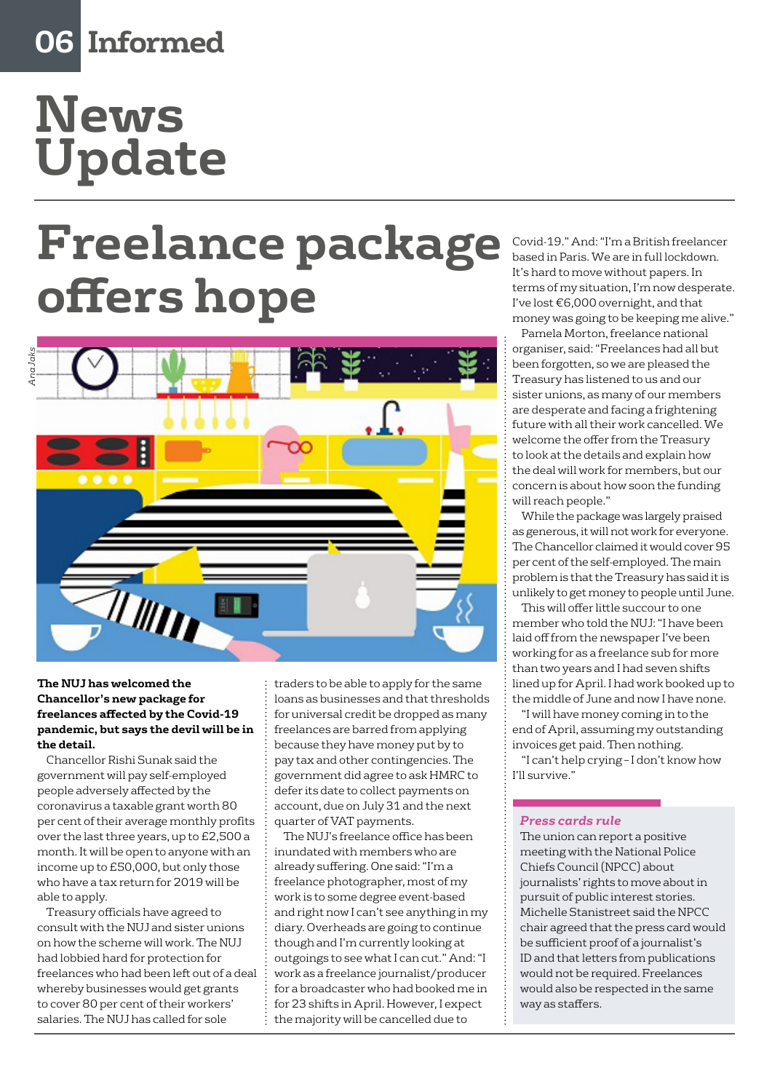## **06 Informed**

# **News Update**

# **Freelance package offers hope**



#### **The NUJ has welcomed the Chancellor's new package for freelances affected by the Covid-19 pandemic, but says the devil will be in the detail.**

Chancellor Rishi Sunak said the government will pay self-employed people adversely affected by the coronavirus a taxable grant worth 80 per cent of their average monthly profits over the last three years, up to £2,500 a month. It will be open to anyone with an income up to £50,000, but only those who have a tax return for 2019 will be able to apply.

Treasury officials have agreed to consult with the NUJ and sister unions on how the scheme will work. The NUJ had lobbied hard for protection for freelances who had been left out of a deal whereby businesses would get grants to cover 80 per cent of their workers' salaries. The NUJ has called for sole

traders to be able to apply for the same loans as businesses and that thresholds for universal credit be dropped as many freelances are barred from applying because they have money put by to pay tax and other contingencies. The government did agree to ask HMRC to defer its date to collect payments on account, due on July 31 and the next quarter of VAT payments.

The NUJ's freelance office has been inundated with members who are already suffering. One said: "I'm a freelance photographer, most of my work is to some degree event-based and right now I can't see anything in my diary. Overheads are going to continue though and I'm currently looking at outgoings to see what I can cut." And: "I work as a freelance journalist/producer for a broadcaster who had booked me in for 23 shifts in April. However, I expect the majority will be cancelled due to

Covid-19." And: "I'm a British freelancer based in Paris. We are in full lockdown. It's hard to move without papers. In terms of my situation, I'm now desperate. I've lost €6,000 overnight, and that money was going to be keeping me alive."

Pamela Morton, freelance national organiser, said: "Freelances had all but been forgotten, so we are pleased the Treasury has listened to us and our sister unions, as many of our members are desperate and facing a frightening future with all their work cancelled. We welcome the offer from the Treasury to look at the details and explain how the deal will work for members, but our concern is about how soon the funding will reach people."

While the package was largely praised as generous, it will not work for everyone. The Chancellor claimed it would cover 95 per cent of the self-employed. The main problem is that the Treasury has said it is unlikely to get money to people until June.

This will offer little succour to one member who told the NUJ: "I have been laid off from the newspaper I've been working for as a freelance sub for more than two years and I had seven shifts lined up for April. I had work booked up to the middle of June and now I have none.

"I will have money coming in to the end of April, assuming my outstanding invoices get paid. Then nothing.

"I can't help crying – I don't know how I'll survive."

#### *Press cards rule*

The union can report a positive meeting with the National Police Chiefs Council (NPCC) about journalists' rights to move about in pursuit of public interest stories. Michelle Stanistreet said the NPCC chair agreed that the press card would be sufficient proof of a journalist's ID and that letters from publications would not be required. Freelances would also be respected in the same way as staffers.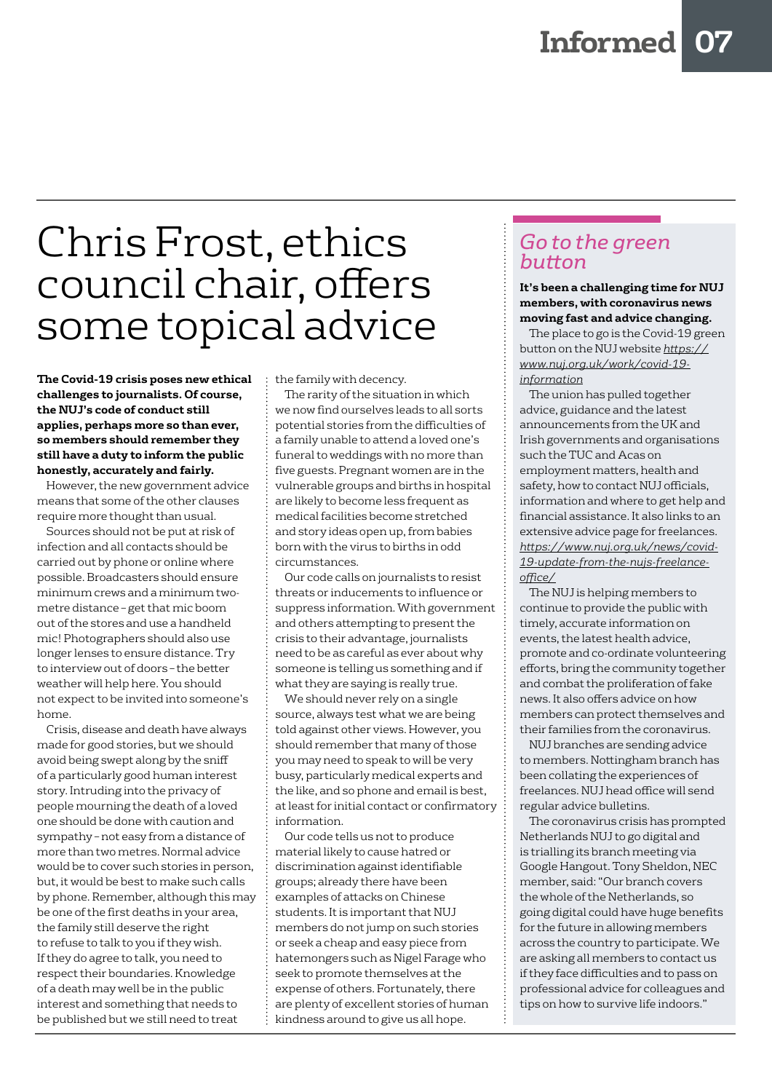## Chris Frost, ethics council chair, offers some topical advice

**The Covid-19 crisis poses new ethical challenges to journalists. Of course, the NUJ's code of conduct still applies, perhaps more so than ever, so members should remember they still have a duty to inform the public honestly, accurately and fairly.** 

However, the new government advice means that some of the other clauses require more thought than usual.

Sources should not be put at risk of infection and all contacts should be carried out by phone or online where possible. Broadcasters should ensure minimum crews and a minimum twometre distance – get that mic boom out of the stores and use a handheld mic! Photographers should also use longer lenses to ensure distance. Try to interview out of doors – the better weather will help here. You should not expect to be invited into someone's home.

Crisis, disease and death have always made for good stories, but we should avoid being swept along by the sniff of a particularly good human interest story. Intruding into the privacy of people mourning the death of a loved one should be done with caution and sympathy – not easy from a distance of more than two metres. Normal advice would be to cover such stories in person, but, it would be best to make such calls by phone. Remember, although this may be one of the first deaths in your area, the family still deserve the right to refuse to talk to you if they wish. If they do agree to talk, you need to respect their boundaries. Knowledge of a death may well be in the public interest and something that needs to be published but we still need to treat

the family with decency.

The rarity of the situation in which we now find ourselves leads to all sorts potential stories from the difficulties of a family unable to attend a loved one's funeral to weddings with no more than five guests. Pregnant women are in the vulnerable groups and births in hospital are likely to become less frequent as medical facilities become stretched and story ideas open up, from babies born with the virus to births in odd circumstances.

Our code calls on journalists to resist threats or inducements to influence or suppress information. With government and others attempting to present the crisis to their advantage, journalists need to be as careful as ever about why someone is telling us something and if what they are saying is really true.

We should never rely on a single source, always test what we are being told against other views. However, you should remember that many of those you may need to speak to will be very busy, particularly medical experts and the like, and so phone and email is best, at least for initial contact or confirmatory information.

Our code tells us not to produce material likely to cause hatred or discrimination against identifiable groups; already there have been examples of attacks on Chinese students. It is important that NUJ members do not jump on such stories or seek a cheap and easy piece from hatemongers such as Nigel Farage who seek to promote themselves at the expense of others. Fortunately, there are plenty of excellent stories of human kindness around to give us all hope.

#### *Go to the green button*

#### **It's been a challenging time for NUJ members, with coronavirus news moving fast and advice changing.**

The place to go is the Covid-19 green button on the NUJ website *[https://](https://www.nuj.org.uk/work/covid-19-information) [www.nuj.org.uk/work/covid-19](https://www.nuj.org.uk/work/covid-19-information) [information](https://www.nuj.org.uk/work/covid-19-information)*

The union has pulled together advice, guidance and the latest announcements from the UK and Irish governments and organisations such the TUC and Acas on employment matters, health and safety, how to contact NUJ officials, information and where to get help and financial assistance. It also links to an extensive advice page for freelances. *[https://www.nuj.org.uk/news/covid-](https://www.nuj.org.uk/news/covid-19-update-from-the-nujs-freelance-office/)[19-update-from-the-nujs-freelance](https://www.nuj.org.uk/news/covid-19-update-from-the-nujs-freelance-office/)[office/](https://www.nuj.org.uk/news/covid-19-update-from-the-nujs-freelance-office/)*

The NUJ is helping members to continue to provide the public with timely, accurate information on events, the latest health advice, promote and co-ordinate volunteering efforts, bring the community together and combat the proliferation of fake news. It also offers advice on how members can protect themselves and their families from the coronavirus.

NUJ branches are sending advice to members. Nottingham branch has been collating the experiences of freelances. NUJ head office will send regular advice bulletins.

The coronavirus crisis has prompted Netherlands NUJ to go digital and is trialling its branch meeting via Google Hangout. Tony Sheldon, NEC member, said: "Our branch covers the whole of the Netherlands, so going digital could have huge benefits for the future in allowing members across the country to participate. We are asking all members to contact us if they face difficulties and to pass on professional advice for colleagues and tips on how to survive life indoors."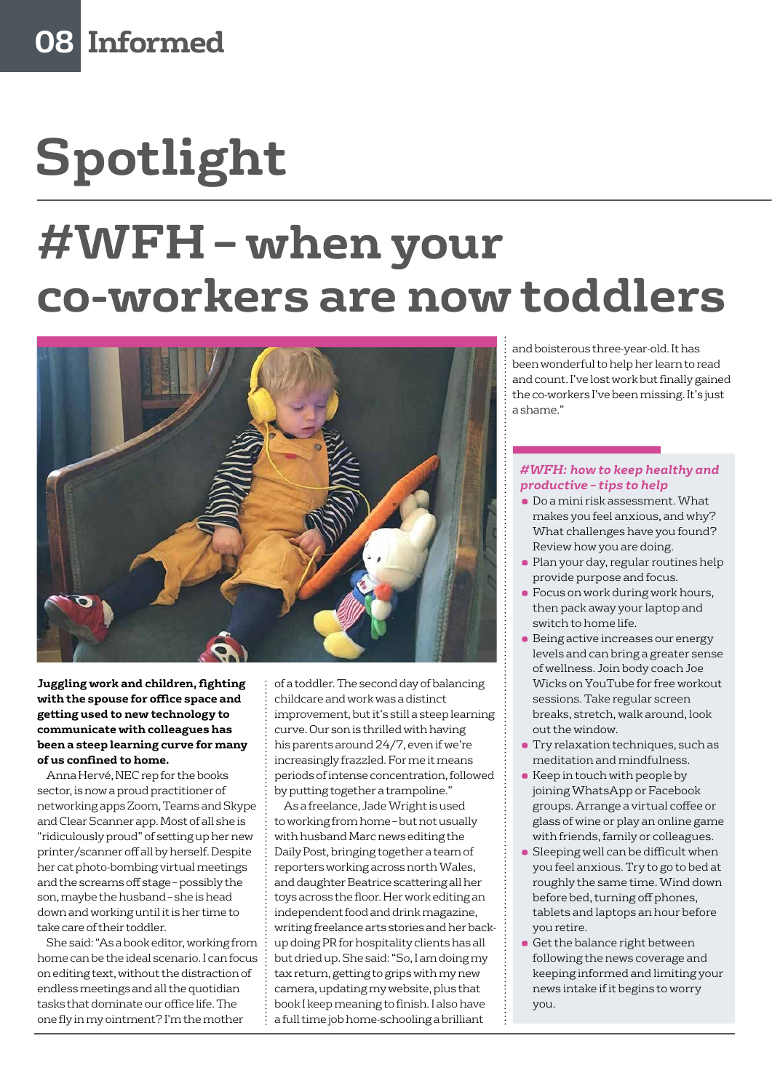# **Spotlight #WFH – when your co-workers are now toddlers**



**Juggling work and children, fighting with the spouse for office space and getting used to new technology to communicate with colleagues has been a steep learning curve for many of us confined to home.**

Anna Hervé, NEC rep for the books sector, is now a proud practitioner of networking apps Zoom, Teams and Skype and Clear Scanner app. Most of all she is "ridiculously proud" of setting up her new printer/scanner off all by herself. Despite her cat photo-bombing virtual meetings and the screams off stage – possibly the son, maybe the husband – she is head down and working until it is her time to take care of their toddler.

She said: "As a book editor, working from home can be the ideal scenario. I can focus on editing text, without the distraction of endless meetings and all the quotidian tasks that dominate our office life. The one fly in my ointment? I'm the mother

of a toddler. The second day of balancing childcare and work was a distinct improvement, but it's still a steep learning curve. Our son is thrilled with having his parents around 24/7, even if we're increasingly frazzled. For me it means periods of intense concentration, followed by putting together a trampoline."

As a freelance, Jade Wright is used to working from home – but not usually with husband Marc news editing the Daily Post, bringing together a team of reporters working across north Wales, and daughter Beatrice scattering all her toys across the floor. Her work editing an independent food and drink magazine, writing freelance arts stories and her backup doing PR for hospitality clients has all but dried up. She said: "So, I am doing my tax return, getting to grips with my new camera, updating my website, plus that book I keep meaning to finish. I also have a full time job home-schooling a brilliant

and boisterous three-year-old. It has been wonderful to help her learn to read and count. I've lost work but finally gained the co-workers I've been missing. It's just a shame."

#### *#WFH: how to keep healthy and productive – tips to help*

- Do a mini risk assessment. What makes you feel anxious, and why? What challenges have you found? Review how you are doing.
- Plan your day, regular routines help provide purpose and focus.
- Focus on work during work hours, then pack away your laptop and switch to home life.
- Being active increases our energy levels and can bring a greater sense of wellness. Join body coach Joe Wicks on YouTube for free workout sessions. Take regular screen breaks, stretch, walk around, look out the window.
- **Try relaxation techniques, such as** meditation and mindfulness.
- Keep in touch with people by joining WhatsApp or Facebook groups. Arrange a virtual coffee or glass of wine or play an online game with friends, family or colleagues.
- Sleeping well can be difficult when you feel anxious. Try to go to bed at roughly the same time. Wind down before bed, turning off phones, tablets and laptops an hour before you retire.
- Get the balance right between following the news coverage and keeping informed and limiting your news intake if it begins to worry you.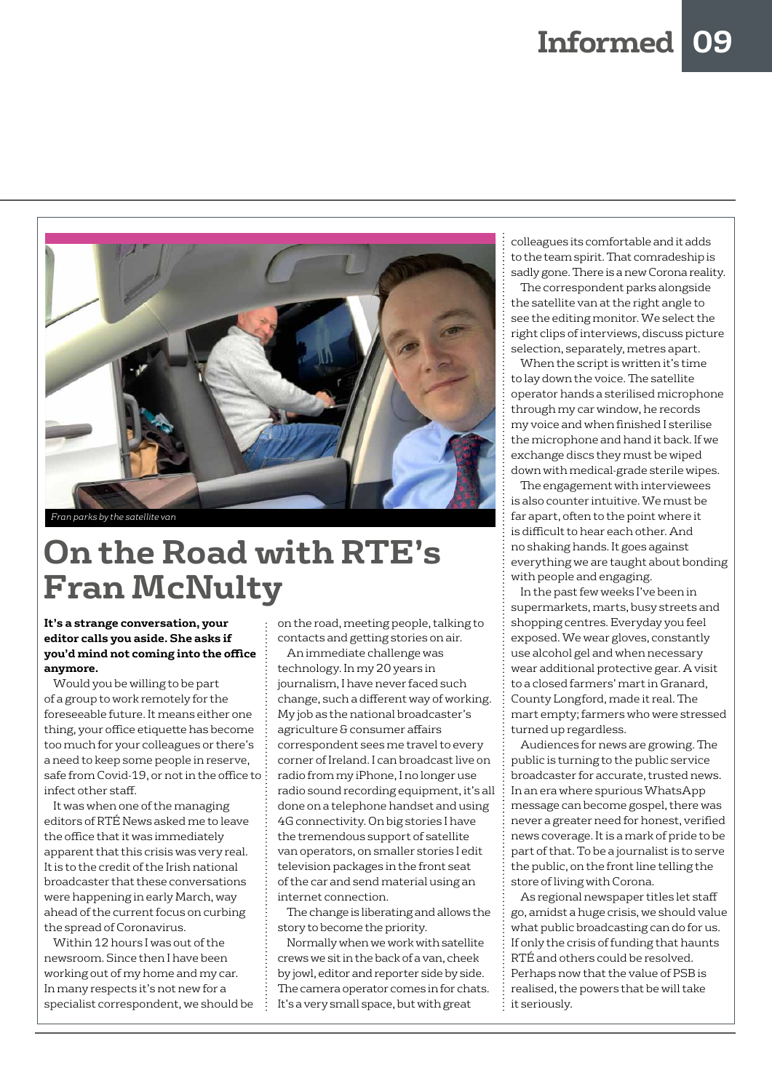

### **On the Road with RTE's Fran McNulty**

#### **It's a strange conversation, your editor calls you aside. She asks if you'd mind not coming into the office anymore.**

Would you be willing to be part of a group to work remotely for the foreseeable future. It means either one thing, your office etiquette has become too much for your colleagues or there's a need to keep some people in reserve, safe from Covid-19, or not in the office to infect other staff.

It was when one of the managing editors of RTÉ News asked me to leave the office that it was immediately apparent that this crisis was very real. It is to the credit of the Irish national broadcaster that these conversations were happening in early March, way ahead of the current focus on curbing the spread of Coronavirus.

Within 12 hours I was out of the newsroom. Since then I have been working out of my home and my car. In many respects it's not new for a specialist correspondent, we should be on the road, meeting people, talking to contacts and getting stories on air.

An immediate challenge was technology. In my 20 years in journalism, I have never faced such change, such a different way of working. My job as the national broadcaster's agriculture & consumer affairs correspondent sees me travel to every corner of Ireland. I can broadcast live on radio from my iPhone, I no longer use radio sound recording equipment, it's all done on a telephone handset and using 4G connectivity. On big stories I have the tremendous support of satellite van operators, on smaller stories I edit television packages in the front seat of the car and send material using an internet connection.

The change is liberating and allows the story to become the priority.

Normally when we work with satellite crews we sit in the back of a van, cheek by jowl, editor and reporter side by side. The camera operator comes in for chats. It's a very small space, but with great

colleagues its comfortable and it adds to the team spirit. That comradeship is sadly gone. There is a new Corona reality.

The correspondent parks alongside the satellite van at the right angle to see the editing monitor. We select the right clips of interviews, discuss picture selection, separately, metres apart.

When the script is written it's time to lay down the voice. The satellite operator hands a sterilised microphone through my car window, he records my voice and when finished I sterilise the microphone and hand it back. If we exchange discs they must be wiped down with medical-grade sterile wipes.

The engagement with interviewees is also counter intuitive. We must be far apart, often to the point where it is difficult to hear each other. And no shaking hands. It goes against everything we are taught about bonding with people and engaging.

In the past few weeks I've been in supermarkets, marts, busy streets and shopping centres. Everyday you feel exposed. We wear gloves, constantly use alcohol gel and when necessary wear additional protective gear. A visit to a closed farmers' mart in Granard, County Longford, made it real. The mart empty; farmers who were stressed turned up regardless.

Audiences for news are growing. The public is turning to the public service broadcaster for accurate, trusted news. In an era where spurious WhatsApp message can become gospel, there was never a greater need for honest, verified news coverage. It is a mark of pride to be part of that. To be a journalist is to serve the public, on the front line telling the store of living with Corona.

As regional newspaper titles let staff go, amidst a huge crisis, we should value what public broadcasting can do for us. If only the crisis of funding that haunts RTÉ and others could be resolved. Perhaps now that the value of PSB is realised, the powers that be will take it seriously.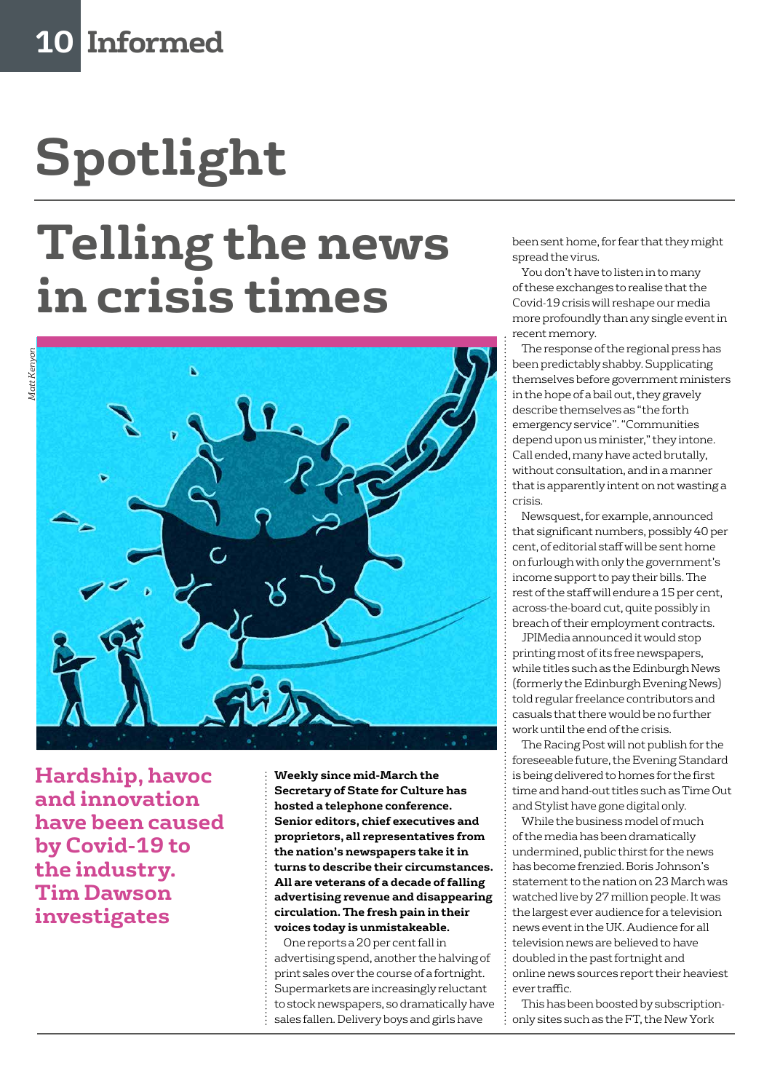# **Spotlight**

# **Telling the news in crisis times**



**Hardship, havoc and innovation have been caused by Covid-19 to the industry. Tim Dawson investigates**

**Weekly since mid-March the Secretary of State for Culture has hosted a telephone conference. Senior editors, chief executives and proprietors, all representatives from the nation's newspapers take it in turns to describe their circumstances. All are veterans of a decade of falling advertising revenue and disappearing circulation. The fresh pain in their voices today is unmistakeable.**

One reports a 20 per cent fall in advertising spend, another the halving of print sales over the course of a fortnight. Supermarkets are increasingly reluctant to stock newspapers, so dramatically have sales fallen. Delivery boys and girls have

been sent home, for fear that they might spread the virus.

You don't have to listen in to many of these exchanges to realise that the Covid-19 crisis will reshape our media more profoundly than any single event in recent memory.

The response of the regional press has been predictably shabby. Supplicating themselves before government ministers in the hope of a bail out, they gravely describe themselves as "the forth emergency service". "Communities depend upon us minister," they intone. Call ended, many have acted brutally, without consultation, and in a manner that is apparently intent on not wasting a crisis.

Newsquest, for example, announced that significant numbers, possibly 40 per cent, of editorial staff will be sent home on furlough with only the government's income support to pay their bills. The rest of the staff will endure a 15 per cent, across-the-board cut, quite possibly in breach of their employment contracts.

JPIMedia announced it would stop printing most of its free newspapers, while titles such as the Edinburgh News (formerly the Edinburgh Evening News) told regular freelance contributors and casuals that there would be no further work until the end of the crisis.

The Racing Post will not publish for the foreseeable future, the Evening Standard is being delivered to homes for the first time and hand-out titles such as Time Out and Stylist have gone digital only.

While the business model of much of the media has been dramatically undermined, public thirst for the news has become frenzied. Boris Johnson's statement to the nation on 23 March was watched live by 27 million people. It was the largest ever audience for a television news event in the UK. Audience for all television news are believed to have doubled in the past fortnight and online news sources report their heaviest ever traffic.

This has been boosted by subscriptiononly sites such as the FT, the New York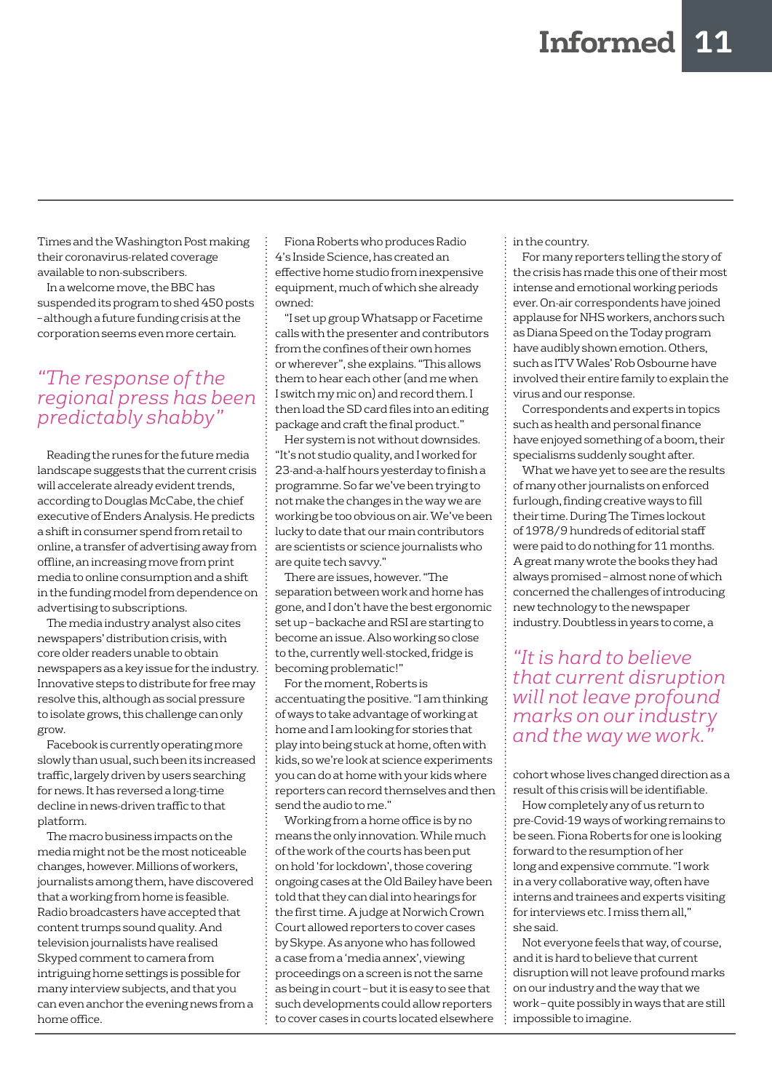Times and the Washington Post making their coronavirus-related coverage available to non-subscribers.

In a welcome move, the BBC has suspended its program to shed 450 posts – although a future funding crisis at the corporation seems even more certain.

#### *"The response of the regional press has been predictably shabby"*

Reading the runes for the future media landscape suggests that the current crisis will accelerate already evident trends, according to Douglas McCabe, the chief executive of Enders Analysis. He predicts a shift in consumer spend from retail to online, a transfer of advertising away from offline, an increasing move from print media to online consumption and a shift in the funding model from dependence on advertising to subscriptions.

The media industry analyst also cites newspapers' distribution crisis, with core older readers unable to obtain newspapers as a key issue for the industry. Innovative steps to distribute for free may resolve this, although as social pressure to isolate grows, this challenge can only grow.

Facebook is currently operating more slowly than usual, such been its increased traffic, largely driven by users searching for news. It has reversed a long-time decline in news-driven traffic to that platform.

The macro business impacts on the media might not be the most noticeable changes, however. Millions of workers, journalists among them, have discovered that a working from home is feasible. Radio broadcasters have accepted that content trumps sound quality. And television journalists have realised Skyped comment to camera from intriguing home settings is possible for many interview subjects, and that you can even anchor the evening news from a home office.

Fiona Roberts who produces Radio 4's Inside Science, has created an effective home studio from inexpensive equipment, much of which she already owned:

"I set up group Whatsapp or Facetime calls with the presenter and contributors from the confines of their own homes or wherever", she explains. "This allows them to hear each other (and me when I switch my mic on) and record them. I then load the SD card files into an editing package and craft the final product."

Her system is not without downsides. "It's not studio quality, and I worked for 23-and-a-half hours yesterday to finish a programme. So far we've been trying to not make the changes in the way we are working be too obvious on air. We've been lucky to date that our main contributors are scientists or science journalists who are quite tech savvy."

There are issues, however. "The separation between work and home has gone, and I don't have the best ergonomic set up – backache and RSI are starting to become an issue. Also working so close to the, currently well-stocked, fridge is becoming problematic!"

For the moment, Roberts is accentuating the positive. "I am thinking of ways to take advantage of working at home and I am looking for stories that play into being stuck at home, often with kids, so we're look at science experiments you can do at home with your kids where reporters can record themselves and then send the audio to me."

Working from a home office is by no means the only innovation. While much of the work of the courts has been put on hold 'for lockdown', those covering ongoing cases at the Old Bailey have been told that they can dial into hearings for the first time. A judge at Norwich Crown Court allowed reporters to cover cases by Skype. As anyone who has followed a case from a 'media annex', viewing proceedings on a screen is not the same as being in court – but it is easy to see that such developments could allow reporters to cover cases in courts located elsewhere in the country.

For many reporters telling the story of the crisis has made this one of their most intense and emotional working periods ever. On-air correspondents have joined applause for NHS workers, anchors such as Diana Speed on the Today program have audibly shown emotion. Others, such as ITV Wales' Rob Osbourne have involved their entire family to explain the virus and our response.

Correspondents and experts in topics such as health and personal finance have enjoyed something of a boom, their specialisms suddenly sought after.

What we have yet to see are the results of many other journalists on enforced furlough, finding creative ways to fill their time. During The Times lockout of 1978/9 hundreds of editorial staff were paid to do nothing for 11 months. A great many wrote the books they had always promised – almost none of which concerned the challenges of introducing new technology to the newspaper industry. Doubtless in years to come, a

*"It is hard to believe that current disruption will not leave profound marks on our industry and the way we work."*

cohort whose lives changed direction as a result of this crisis will be identifiable.

How completely any of us return to pre-Covid-19 ways of working remains to be seen. Fiona Roberts for one is looking forward to the resumption of her long and expensive commute. "I work in a very collaborative way, often have interns and trainees and experts visiting for interviews etc. I miss them all," she said.

Not everyone feels that way, of course, and it is hard to believe that current disruption will not leave profound marks on our industry and the way that we work – quite possibly in ways that are still impossible to imagine.